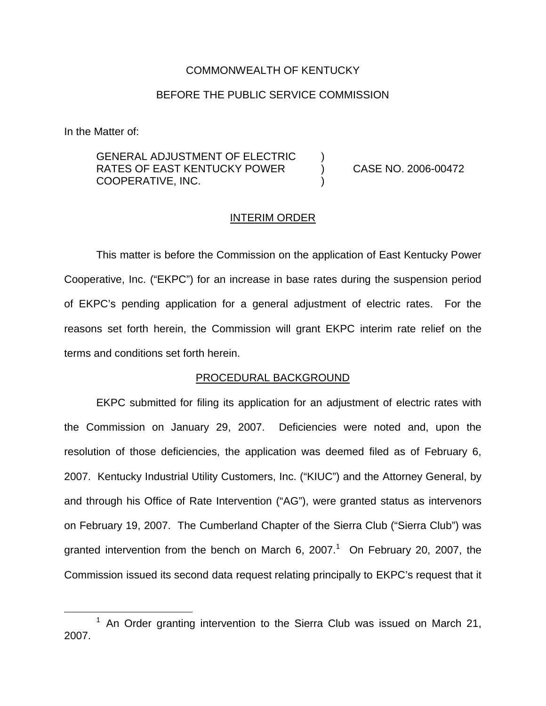## COMMONWEALTH OF KENTUCKY

## BEFORE THE PUBLIC SERVICE COMMISSION

In the Matter of:

GENERAL ADJUSTMENT OF ELECTRIC RATES OF EAST KENTUCKY POWER (2006-00472 COOPERATIVE, INC. )

### INTERIM ORDER

This matter is before the Commission on the application of East Kentucky Power Cooperative, Inc. ("EKPC") for an increase in base rates during the suspension period of EKPC's pending application for a general adjustment of electric rates. For the reasons set forth herein, the Commission will grant EKPC interim rate relief on the terms and conditions set forth herein.

# PROCEDURAL BACKGROUND

EKPC submitted for filing its application for an adjustment of electric rates with the Commission on January 29, 2007. Deficiencies were noted and, upon the resolution of those deficiencies, the application was deemed filed as of February 6, 2007. Kentucky Industrial Utility Customers, Inc. ("KIUC") and the Attorney General, by and through his Office of Rate Intervention ("AG"), were granted status as intervenors on February 19, 2007. The Cumberland Chapter of the Sierra Club ("Sierra Club") was granted intervention from the bench on March 6, 2007.<sup>1</sup> On February 20, 2007, the Commission issued its second data request relating principally to EKPC's request that it

 $1$  An Order granting intervention to the Sierra Club was issued on March 21, 2007.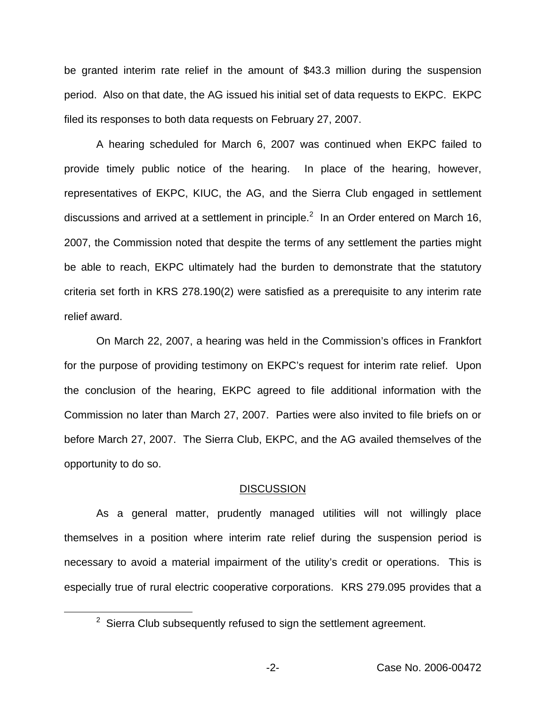be granted interim rate relief in the amount of \$43.3 million during the suspension period. Also on that date, the AG issued his initial set of data requests to EKPC. EKPC filed its responses to both data requests on February 27, 2007.

A hearing scheduled for March 6, 2007 was continued when EKPC failed to provide timely public notice of the hearing. In place of the hearing, however, representatives of EKPC, KIUC, the AG, and the Sierra Club engaged in settlement discussions and arrived at a settlement in principle. $^2$  In an Order entered on March 16, 2007, the Commission noted that despite the terms of any settlement the parties might be able to reach, EKPC ultimately had the burden to demonstrate that the statutory criteria set forth in KRS 278.190(2) were satisfied as a prerequisite to any interim rate relief award.

On March 22, 2007, a hearing was held in the Commission's offices in Frankfort for the purpose of providing testimony on EKPC's request for interim rate relief. Upon the conclusion of the hearing, EKPC agreed to file additional information with the Commission no later than March 27, 2007. Parties were also invited to file briefs on or before March 27, 2007. The Sierra Club, EKPC, and the AG availed themselves of the opportunity to do so.

#### DISCUSSION

As a general matter, prudently managed utilities will not willingly place themselves in a position where interim rate relief during the suspension period is necessary to avoid a material impairment of the utility's credit or operations. This is especially true of rural electric cooperative corporations. KRS 279.095 provides that a

 $2$  Sierra Club subsequently refused to sign the settlement agreement.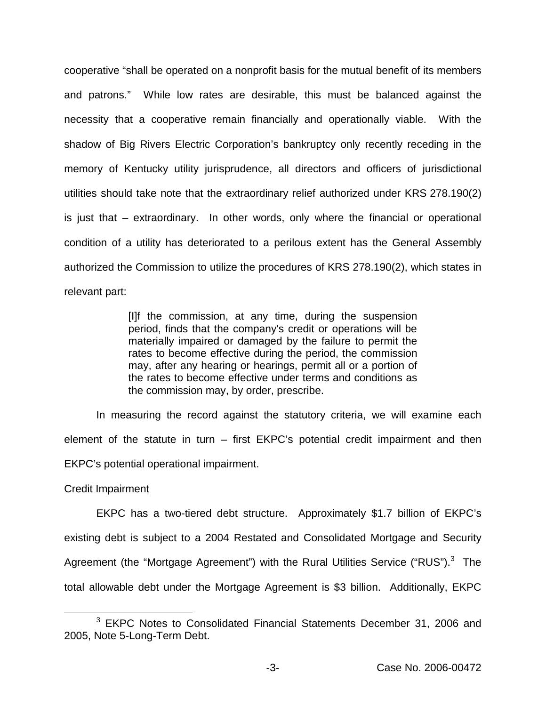cooperative "shall be operated on a nonprofit basis for the mutual benefit of its members and patrons." While low rates are desirable, this must be balanced against the necessity that a cooperative remain financially and operationally viable. With the shadow of Big Rivers Electric Corporation's bankruptcy only recently receding in the memory of Kentucky utility jurisprudence, all directors and officers of jurisdictional utilities should take note that the extraordinary relief authorized under KRS 278.190(2) is just that – extraordinary. In other words, only where the financial or operational condition of a utility has deteriorated to a perilous extent has the General Assembly authorized the Commission to utilize the procedures of KRS 278.190(2), which states in relevant part:

> [I]f the commission, at any time, during the suspension period, finds that the company's credit or operations will be materially impaired or damaged by the failure to permit the rates to become effective during the period, the commission may, after any hearing or hearings, permit all or a portion of the rates to become effective under terms and conditions as the commission may, by order, prescribe.

In measuring the record against the statutory criteria, we will examine each element of the statute in turn – first EKPC's potential credit impairment and then EKPC's potential operational impairment.

## Credit Impairment

EKPC has a two-tiered debt structure. Approximately \$1.7 billion of EKPC's existing debt is subject to a 2004 Restated and Consolidated Mortgage and Security Agreement (the "Mortgage Agreement") with the Rural Utilities Service ("RUS").<sup>3</sup> The total allowable debt under the Mortgage Agreement is \$3 billion. Additionally, EKPC

<sup>&</sup>lt;sup>3</sup> EKPC Notes to Consolidated Financial Statements December 31, 2006 and 2005, Note 5-Long-Term Debt.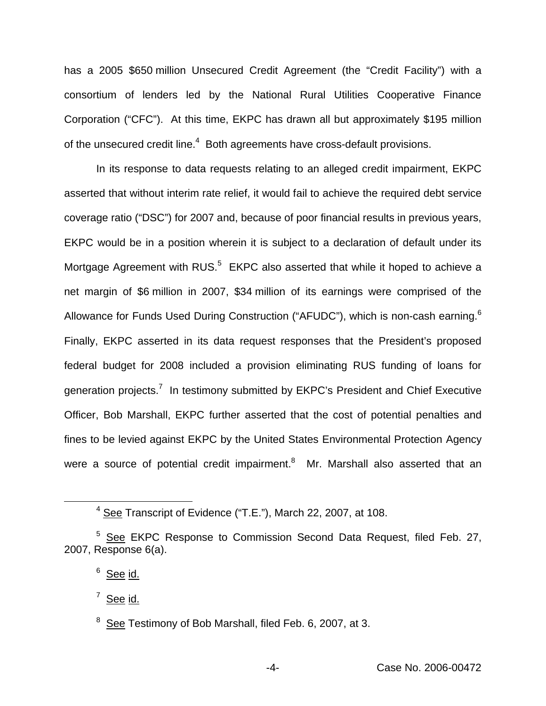has a 2005 \$650 million Unsecured Credit Agreement (the "Credit Facility") with a consortium of lenders led by the National Rural Utilities Cooperative Finance Corporation ("CFC"). At this time, EKPC has drawn all but approximately \$195 million of the unsecured credit line.<sup>4</sup> Both agreements have cross-default provisions.

In its response to data requests relating to an alleged credit impairment, EKPC asserted that without interim rate relief, it would fail to achieve the required debt service coverage ratio ("DSC") for 2007 and, because of poor financial results in previous years, EKPC would be in a position wherein it is subject to a declaration of default under its Mortgage Agreement with RUS.<sup>5</sup> EKPC also asserted that while it hoped to achieve a net margin of \$6 million in 2007, \$34 million of its earnings were comprised of the Allowance for Funds Used During Construction ("AFUDC"), which is non-cash earning.<sup>6</sup> Finally, EKPC asserted in its data request responses that the President's proposed federal budget for 2008 included a provision eliminating RUS funding of loans for generation projects.7 In testimony submitted by EKPC's President and Chief Executive Officer, Bob Marshall, EKPC further asserted that the cost of potential penalties and fines to be levied against EKPC by the United States Environmental Protection Agency were a source of potential credit impairment.<sup>8</sup> Mr. Marshall also asserted that an

<sup>4</sup> See Transcript of Evidence ("T.E."), March 22, 2007, at 108.

<sup>5</sup> See EKPC Response to Commission Second Data Request, filed Feb. 27, 2007, Response 6(a).

 $6$  See id.

 $7$  See id.

<sup>&</sup>lt;sup>8</sup> See Testimony of Bob Marshall, filed Feb. 6, 2007, at 3.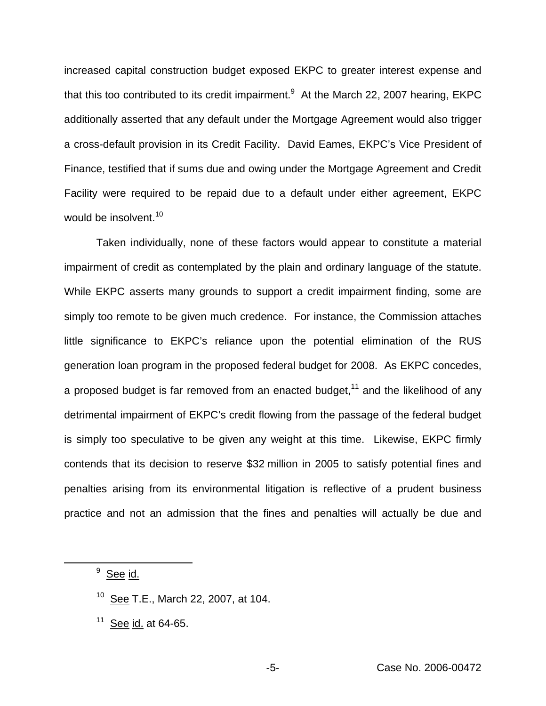increased capital construction budget exposed EKPC to greater interest expense and that this too contributed to its credit impairment.<sup>9</sup> At the March 22, 2007 hearing, EKPC additionally asserted that any default under the Mortgage Agreement would also trigger a cross-default provision in its Credit Facility. David Eames, EKPC's Vice President of Finance, testified that if sums due and owing under the Mortgage Agreement and Credit Facility were required to be repaid due to a default under either agreement, EKPC would be insolvent.<sup>10</sup>

Taken individually, none of these factors would appear to constitute a material impairment of credit as contemplated by the plain and ordinary language of the statute. While EKPC asserts many grounds to support a credit impairment finding, some are simply too remote to be given much credence. For instance, the Commission attaches little significance to EKPC's reliance upon the potential elimination of the RUS generation loan program in the proposed federal budget for 2008. As EKPC concedes, a proposed budget is far removed from an enacted budget,  $11$  and the likelihood of any detrimental impairment of EKPC's credit flowing from the passage of the federal budget is simply too speculative to be given any weight at this time. Likewise, EKPC firmly contends that its decision to reserve \$32 million in 2005 to satisfy potential fines and penalties arising from its environmental litigation is reflective of a prudent business practice and not an admission that the fines and penalties will actually be due and

<sup>9</sup> See id.

- <sup>10</sup> See T.E., March 22, 2007, at 104.
- $11$  See id. at 64-65.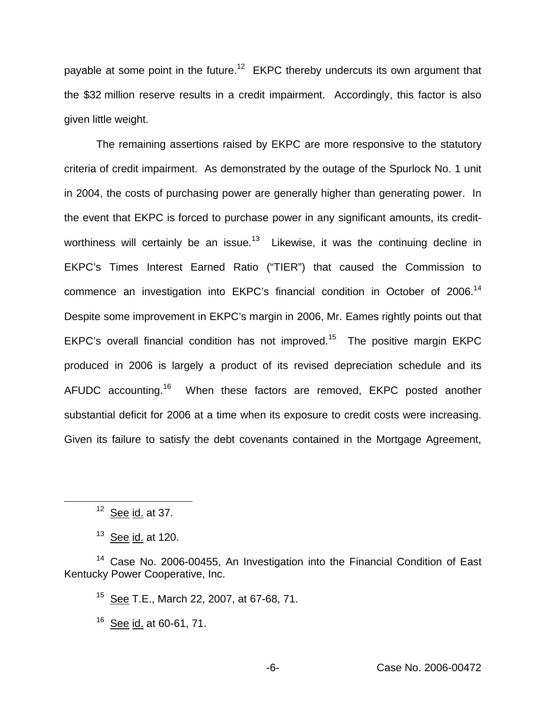payable at some point in the future.<sup>12</sup> EKPC thereby undercuts its own argument that the \$32 million reserve results in a credit impairment. Accordingly, this factor is also given little weight.

The remaining assertions raised by EKPC are more responsive to the statutory criteria of credit impairment. As demonstrated by the outage of the Spurlock No. 1 unit in 2004, the costs of purchasing power are generally higher than generating power. In the event that EKPC is forced to purchase power in any significant amounts, its creditworthiness will certainly be an issue. $13$  Likewise, it was the continuing decline in EKPC's Times Interest Earned Ratio ("TIER") that caused the Commission to commence an investigation into EKPC's financial condition in October of 2006.<sup>14</sup> Despite some improvement in EKPC's margin in 2006, Mr. Eames rightly points out that EKPC's overall financial condition has not improved.<sup>15</sup> The positive margin EKPC produced in 2006 is largely a product of its revised depreciation schedule and its AFUDC accounting.<sup>16</sup> When these factors are removed, EKPC posted another substantial deficit for 2006 at a time when its exposure to credit costs were increasing. Given its failure to satisfy the debt covenants contained in the Mortgage Agreement,

 $12$  See id. at 37.

 $13$  See id. at 120.

<sup>14</sup> Case No. 2006-00455, An Investigation into the Financial Condition of East Kentucky Power Cooperative, Inc.

<sup>15</sup> See T.E., March 22, 2007, at 67-68, 71.

 $16$  See id. at 60-61, 71,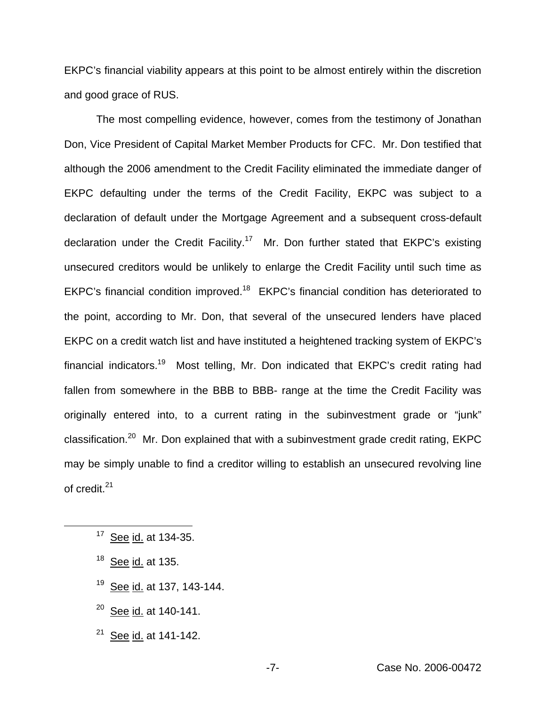EKPC's financial viability appears at this point to be almost entirely within the discretion and good grace of RUS.

The most compelling evidence, however, comes from the testimony of Jonathan Don, Vice President of Capital Market Member Products for CFC. Mr. Don testified that although the 2006 amendment to the Credit Facility eliminated the immediate danger of EKPC defaulting under the terms of the Credit Facility, EKPC was subject to a declaration of default under the Mortgage Agreement and a subsequent cross-default declaration under the Credit Facility.<sup>17</sup> Mr. Don further stated that EKPC's existing unsecured creditors would be unlikely to enlarge the Credit Facility until such time as EKPC's financial condition improved.<sup>18</sup> EKPC's financial condition has deteriorated to the point, according to Mr. Don, that several of the unsecured lenders have placed EKPC on a credit watch list and have instituted a heightened tracking system of EKPC's financial indicators.19 Most telling, Mr. Don indicated that EKPC's credit rating had fallen from somewhere in the BBB to BBB- range at the time the Credit Facility was originally entered into, to a current rating in the subinvestment grade or "junk" classification.<sup>20</sup> Mr. Don explained that with a subinvestment grade credit rating,  $EKPC$ may be simply unable to find a creditor willing to establish an unsecured revolving line of credit.<sup>21</sup>

<sup>17</sup> See id. at 134-35.

- <sup>18</sup> See id. at 135.
- <sup>19</sup> See id. at 137, 143-144.
- $20$  See id. at 140-141.
- $21$  See id. at 141-142.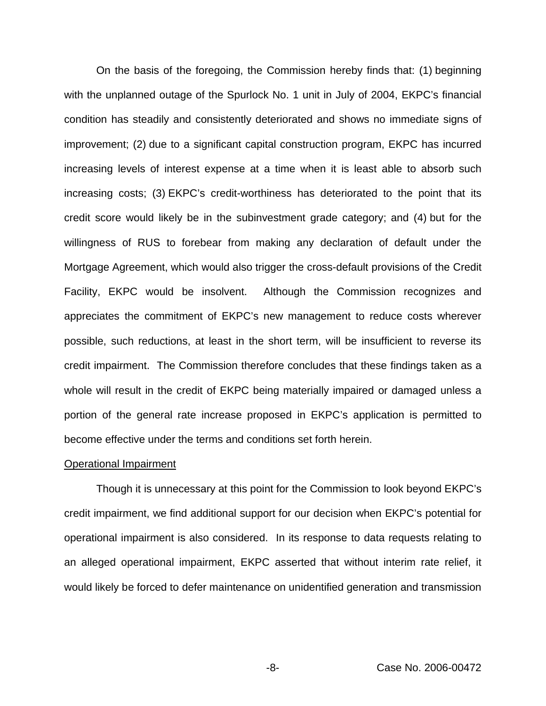On the basis of the foregoing, the Commission hereby finds that: (1) beginning with the unplanned outage of the Spurlock No. 1 unit in July of 2004, EKPC's financial condition has steadily and consistently deteriorated and shows no immediate signs of improvement; (2) due to a significant capital construction program, EKPC has incurred increasing levels of interest expense at a time when it is least able to absorb such increasing costs; (3) EKPC's credit-worthiness has deteriorated to the point that its credit score would likely be in the subinvestment grade category; and (4) but for the willingness of RUS to forebear from making any declaration of default under the Mortgage Agreement, which would also trigger the cross-default provisions of the Credit Facility, EKPC would be insolvent. Although the Commission recognizes and appreciates the commitment of EKPC's new management to reduce costs wherever possible, such reductions, at least in the short term, will be insufficient to reverse its credit impairment. The Commission therefore concludes that these findings taken as a whole will result in the credit of EKPC being materially impaired or damaged unless a portion of the general rate increase proposed in EKPC's application is permitted to become effective under the terms and conditions set forth herein.

### Operational Impairment

Though it is unnecessary at this point for the Commission to look beyond EKPC's credit impairment, we find additional support for our decision when EKPC's potential for operational impairment is also considered. In its response to data requests relating to an alleged operational impairment, EKPC asserted that without interim rate relief, it would likely be forced to defer maintenance on unidentified generation and transmission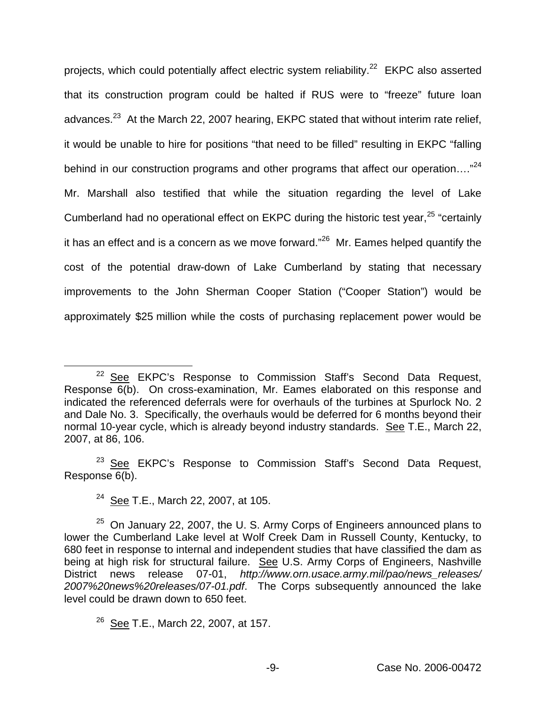projects, which could potentially affect electric system reliability.<sup>22</sup> EKPC also asserted that its construction program could be halted if RUS were to "freeze" future loan advances. $^{23}$  At the March 22, 2007 hearing, EKPC stated that without interim rate relief, it would be unable to hire for positions "that need to be filled" resulting in EKPC "falling behind in our construction programs and other programs that affect our operation...."<sup>24</sup> Mr. Marshall also testified that while the situation regarding the level of Lake Cumberland had no operational effect on EKPC during the historic test year,<sup>25</sup> "certainly it has an effect and is a concern as we move forward."<sup>26</sup> Mr. Eames helped quantify the cost of the potential draw-down of Lake Cumberland by stating that necessary improvements to the John Sherman Cooper Station ("Cooper Station") would be approximately \$25 million while the costs of purchasing replacement power would be

 $23$  See EKPC's Response to Commission Staff's Second Data Request, Response 6(b).

<sup>&</sup>lt;sup>22</sup> See EKPC's Response to Commission Staff's Second Data Request, Response 6(b). On cross-examination, Mr. Eames elaborated on this response and indicated the referenced deferrals were for overhauls of the turbines at Spurlock No. 2 and Dale No. 3. Specifically, the overhauls would be deferred for 6 months beyond their normal 10-year cycle, which is already beyond industry standards. See T.E., March 22, 2007, at 86, 106.

<sup>&</sup>lt;sup>24</sup> See T.E., March 22, 2007, at 105.

 $25$  On January 22, 2007, the U.S. Army Corps of Engineers announced plans to lower the Cumberland Lake level at Wolf Creek Dam in Russell County, Kentucky, to 680 feet in response to internal and independent studies that have classified the dam as being at high risk for structural failure. See U.S. Army Corps of Engineers, Nashville District news release 07-01, *http://www.orn.usace.army.mil/pao/news\_releases/ 2007%20news%20releases/07-01.pdf*. The Corps subsequently announced the lake level could be drawn down to 650 feet.

 $26$  See T.E., March 22, 2007, at 157.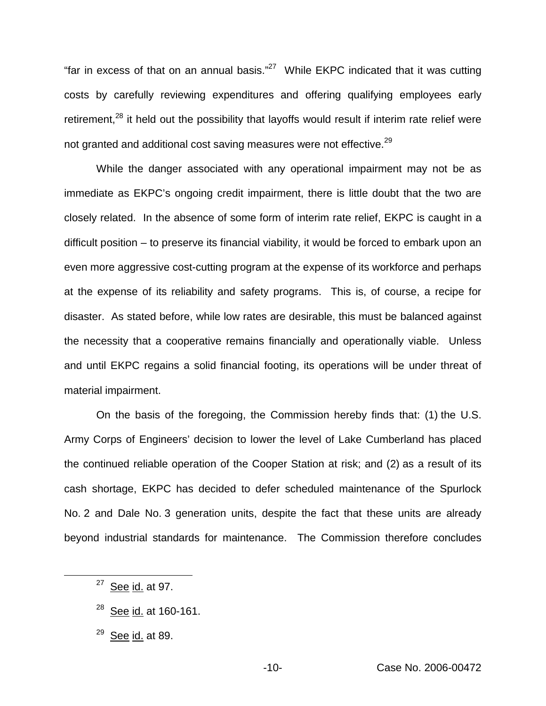"far in excess of that on an annual basis." $27$  While EKPC indicated that it was cutting costs by carefully reviewing expenditures and offering qualifying employees early retirement, $28$  it held out the possibility that layoffs would result if interim rate relief were not granted and additional cost saving measures were not effective.<sup>29</sup>

While the danger associated with any operational impairment may not be as immediate as EKPC's ongoing credit impairment, there is little doubt that the two are closely related. In the absence of some form of interim rate relief, EKPC is caught in a difficult position – to preserve its financial viability, it would be forced to embark upon an even more aggressive cost-cutting program at the expense of its workforce and perhaps at the expense of its reliability and safety programs. This is, of course, a recipe for disaster. As stated before, while low rates are desirable, this must be balanced against the necessity that a cooperative remains financially and operationally viable. Unless and until EKPC regains a solid financial footing, its operations will be under threat of material impairment.

On the basis of the foregoing, the Commission hereby finds that: (1) the U.S. Army Corps of Engineers' decision to lower the level of Lake Cumberland has placed the continued reliable operation of the Cooper Station at risk; and (2) as a result of its cash shortage, EKPC has decided to defer scheduled maintenance of the Spurlock No. 2 and Dale No. 3 generation units, despite the fact that these units are already beyond industrial standards for maintenance. The Commission therefore concludes

- <sup>28</sup> See id. at 160-161.
- $29$  See id. at 89.

 $27$  See id. at 97.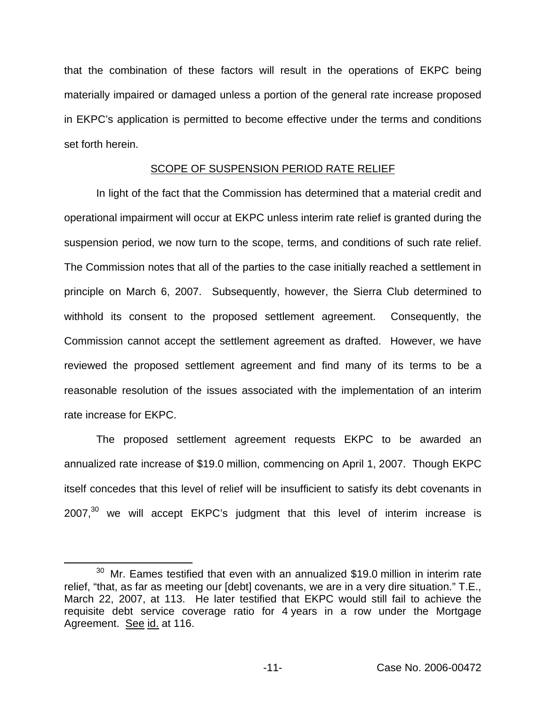that the combination of these factors will result in the operations of EKPC being materially impaired or damaged unless a portion of the general rate increase proposed in EKPC's application is permitted to become effective under the terms and conditions set forth herein.

# SCOPE OF SUSPENSION PERIOD RATE RELIEF

In light of the fact that the Commission has determined that a material credit and operational impairment will occur at EKPC unless interim rate relief is granted during the suspension period, we now turn to the scope, terms, and conditions of such rate relief. The Commission notes that all of the parties to the case initially reached a settlement in principle on March 6, 2007. Subsequently, however, the Sierra Club determined to withhold its consent to the proposed settlement agreement. Consequently, the Commission cannot accept the settlement agreement as drafted. However, we have reviewed the proposed settlement agreement and find many of its terms to be a reasonable resolution of the issues associated with the implementation of an interim rate increase for EKPC.

The proposed settlement agreement requests EKPC to be awarded an annualized rate increase of \$19.0 million, commencing on April 1, 2007. Though EKPC itself concedes that this level of relief will be insufficient to satisfy its debt covenants in  $2007$ , $30$  we will accept EKPC's judgment that this level of interim increase is

 $30$  Mr. Eames testified that even with an annualized \$19.0 million in interim rate relief, "that, as far as meeting our [debt] covenants, we are in a very dire situation." T.E., March 22, 2007, at 113. He later testified that EKPC would still fail to achieve the requisite debt service coverage ratio for 4 years in a row under the Mortgage Agreement. See id. at 116.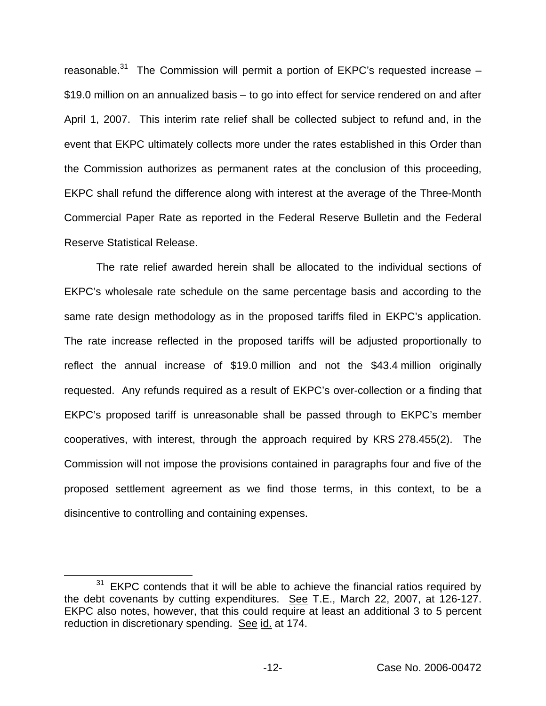reasonable.<sup>31</sup> The Commission will permit a portion of EKPC's requested increase  $-$ \$19.0 million on an annualized basis – to go into effect for service rendered on and after April 1, 2007. This interim rate relief shall be collected subject to refund and, in the event that EKPC ultimately collects more under the rates established in this Order than the Commission authorizes as permanent rates at the conclusion of this proceeding, EKPC shall refund the difference along with interest at the average of the Three-Month Commercial Paper Rate as reported in the Federal Reserve Bulletin and the Federal Reserve Statistical Release.

The rate relief awarded herein shall be allocated to the individual sections of EKPC's wholesale rate schedule on the same percentage basis and according to the same rate design methodology as in the proposed tariffs filed in EKPC's application. The rate increase reflected in the proposed tariffs will be adjusted proportionally to reflect the annual increase of \$19.0 million and not the \$43.4 million originally requested. Any refunds required as a result of EKPC's over-collection or a finding that EKPC's proposed tariff is unreasonable shall be passed through to EKPC's member cooperatives, with interest, through the approach required by KRS 278.455(2). The Commission will not impose the provisions contained in paragraphs four and five of the proposed settlement agreement as we find those terms, in this context, to be a disincentive to controlling and containing expenses.

 $31$  EKPC contends that it will be able to achieve the financial ratios required by the debt covenants by cutting expenditures. See T.E., March 22, 2007, at 126-127. EKPC also notes, however, that this could require at least an additional 3 to 5 percent reduction in discretionary spending. See id. at 174.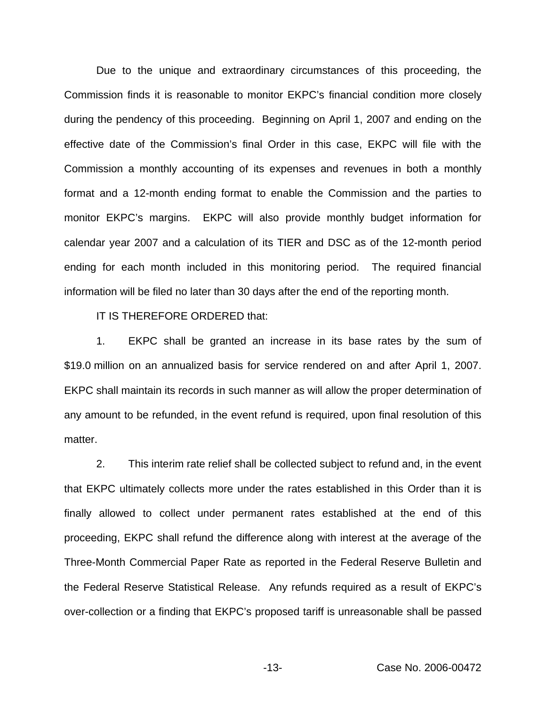Due to the unique and extraordinary circumstances of this proceeding, the Commission finds it is reasonable to monitor EKPC's financial condition more closely during the pendency of this proceeding. Beginning on April 1, 2007 and ending on the effective date of the Commission's final Order in this case, EKPC will file with the Commission a monthly accounting of its expenses and revenues in both a monthly format and a 12-month ending format to enable the Commission and the parties to monitor EKPC's margins. EKPC will also provide monthly budget information for calendar year 2007 and a calculation of its TIER and DSC as of the 12-month period ending for each month included in this monitoring period. The required financial information will be filed no later than 30 days after the end of the reporting month.

IT IS THEREFORE ORDERED that:

1. EKPC shall be granted an increase in its base rates by the sum of \$19.0 million on an annualized basis for service rendered on and after April 1, 2007. EKPC shall maintain its records in such manner as will allow the proper determination of any amount to be refunded, in the event refund is required, upon final resolution of this matter.

2. This interim rate relief shall be collected subject to refund and, in the event that EKPC ultimately collects more under the rates established in this Order than it is finally allowed to collect under permanent rates established at the end of this proceeding, EKPC shall refund the difference along with interest at the average of the Three-Month Commercial Paper Rate as reported in the Federal Reserve Bulletin and the Federal Reserve Statistical Release. Any refunds required as a result of EKPC's over-collection or a finding that EKPC's proposed tariff is unreasonable shall be passed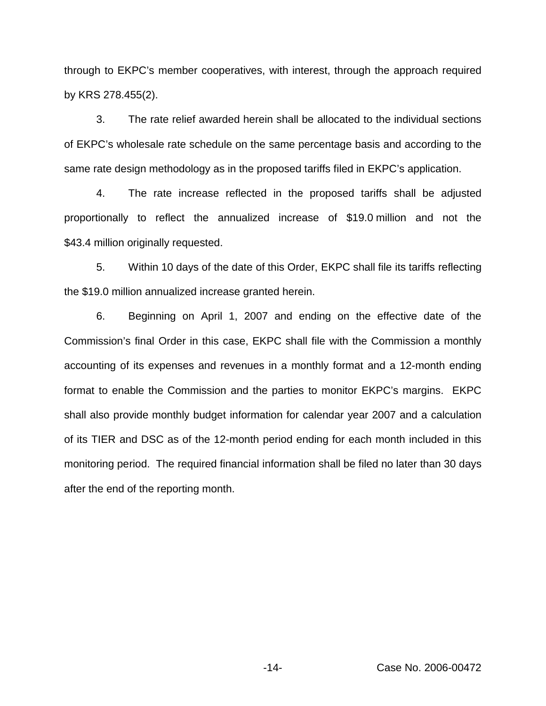through to EKPC's member cooperatives, with interest, through the approach required by KRS 278.455(2).

3. The rate relief awarded herein shall be allocated to the individual sections of EKPC's wholesale rate schedule on the same percentage basis and according to the same rate design methodology as in the proposed tariffs filed in EKPC's application.

4. The rate increase reflected in the proposed tariffs shall be adjusted proportionally to reflect the annualized increase of \$19.0 million and not the \$43.4 million originally requested.

5. Within 10 days of the date of this Order, EKPC shall file its tariffs reflecting the \$19.0 million annualized increase granted herein.

6. Beginning on April 1, 2007 and ending on the effective date of the Commission's final Order in this case, EKPC shall file with the Commission a monthly accounting of its expenses and revenues in a monthly format and a 12-month ending format to enable the Commission and the parties to monitor EKPC's margins. EKPC shall also provide monthly budget information for calendar year 2007 and a calculation of its TIER and DSC as of the 12-month period ending for each month included in this monitoring period. The required financial information shall be filed no later than 30 days after the end of the reporting month.